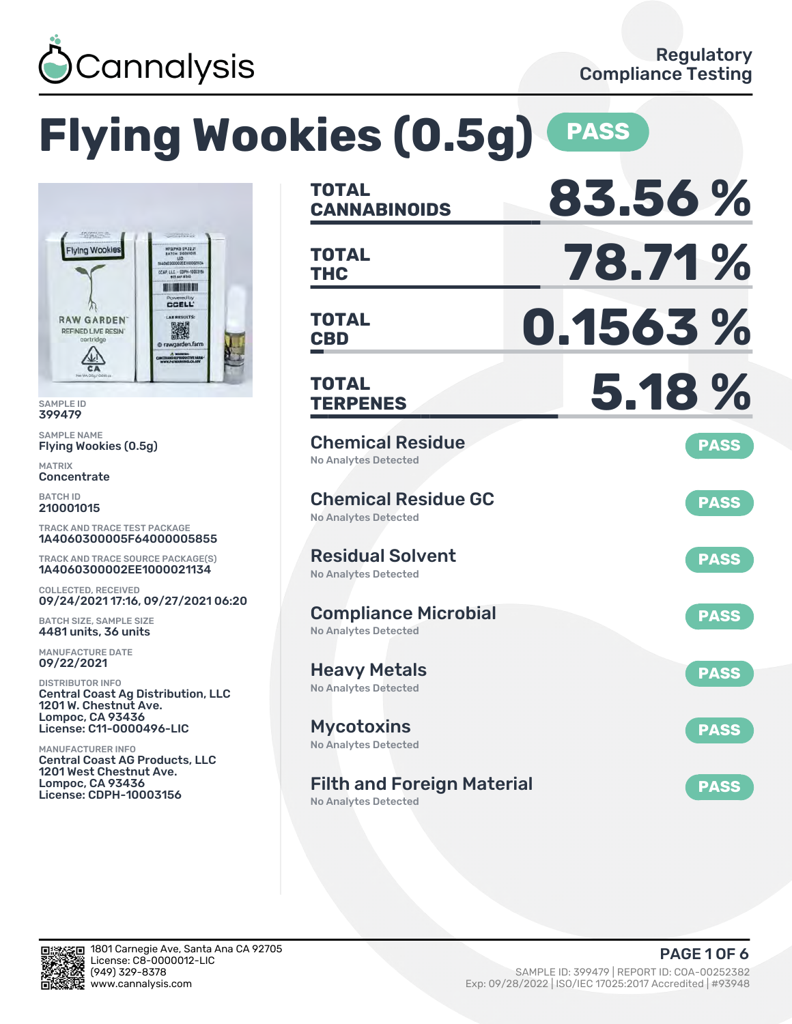

|                                                                                                                                                                                       | <b>Flying Wookies (0.5g)</b>                                     | <b>PASS</b> |
|---------------------------------------------------------------------------------------------------------------------------------------------------------------------------------------|------------------------------------------------------------------|-------------|
|                                                                                                                                                                                       | <b>TOTAL</b><br><b>CANNABINOIDS</b>                              | 83.56%      |
| <b><i>STATISTICS</i></b><br><b>MFS/PKB 09.22.21</b><br><b>Flying Wookies</b><br><b>BATCH 21000101</b><br>40603330002EE1000021134<br>CCAP, LLC - COPH-10003154<br><b>ALLEN BING HI</b> | <b>TOTAL</b><br><b>THC</b>                                       | 78.71%      |
| Powered by<br><b>CCELL</b><br><b>LAB RESULTS:</b><br><b>RAW GARDEN</b><br>議<br><b>REFINED LIVE RESIN</b><br>cartridge<br>@ rawgarden.farm<br>A WARRES CHARGES CAN BE ASSESSED         | <b>TOTAL</b><br><b>CBD</b>                                       | 0.1563%     |
| <b>Net Wt. OSg / ODIE</b><br><b>SAMPLE ID</b><br>399479                                                                                                                               | <b>TOTAL</b><br><b>TERPENES</b>                                  | 5.18%       |
| <b>SAMPLE NAME</b><br>Flying Wookies (0.5g)<br><b>MATRIX</b><br>Concentrate                                                                                                           | <b>Chemical Residue</b><br><b>No Analytes Detected</b>           | <b>PASS</b> |
| <b>BATCH ID</b><br>210001015<br><b>TRACK AND TRACE TEST PACKAGE</b>                                                                                                                   | <b>Chemical Residue GC</b><br><b>No Analytes Detected</b>        | <b>PASS</b> |
| 1A4060300005F64000005855<br><b>TRACK AND TRACE SOURCE PACKAGE(S)</b><br>1A4060300002EE1000021134                                                                                      | <b>Residual Solvent</b><br><b>No Analytes Detected</b>           | <b>PASS</b> |
| <b>COLLECTED, RECEIVED</b><br>09/24/2021 17:16, 09/27/2021 06:20<br><b>BATCH SIZE, SAMPLE SIZE</b><br>4481 units, 36 units                                                            | <b>Compliance Microbial</b><br><b>No Analytes Detected</b>       | <b>PASS</b> |
| <b>MANUFACTURE DATE</b><br>09/22/2021                                                                                                                                                 | <b>Heavy Metals</b>                                              | <b>PASS</b> |
| <b>DISTRIBUTOR INFO</b><br><b>Central Coast Ag Distribution, LLC</b><br>1201 W. Chestnut Ave.<br><b>Lompoc, CA 93436</b><br>License: C11-0000496-LIC                                  | <b>No Analytes Detected</b><br><b>Mycotoxins</b>                 | <b>PASS</b> |
| <b>MANUFACTURER INFO</b><br><b>Central Coast AG Products, LLC</b><br>1201 West Chestnut Ave.<br><b>Lompoc, CA 93436</b>                                                               | <b>No Analytes Detected</b><br><b>Filth and Foreign Material</b> | <b>PASS</b> |
| <b>License: CDPH-10003156</b>                                                                                                                                                         | <b>No Analytes Detected</b>                                      |             |



រក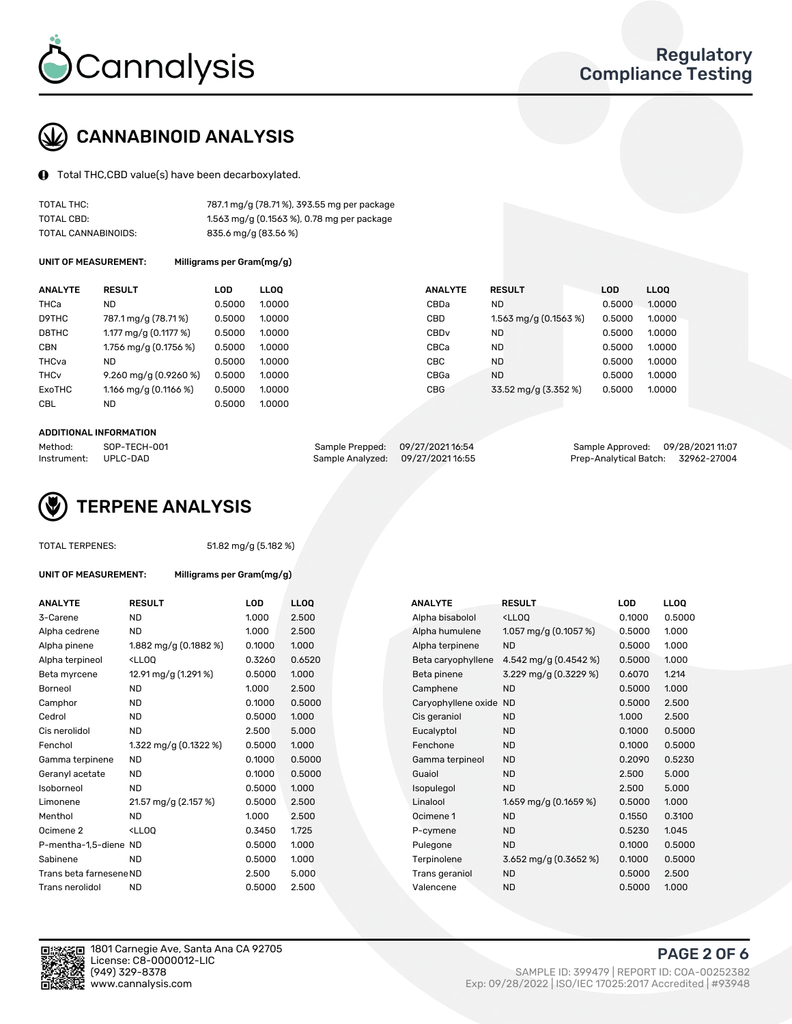

# CANNABINOID ANALYSIS

Total THC,CBD value(s) have been decarboxylated.

| TOTAL THC:          | 787.1 mg/g (78.71%), 393.55 mg per package |
|---------------------|--------------------------------------------|
| TOTAL CBD:          | 1.563 mg/g (0.1563 %), 0.78 mg per package |
| TOTAL CANNABINOIDS: | 835.6 mg/g (83.56 %)                       |

UNIT OF MEASUREMENT: Milligrams per Gram(mg/g)

| <b>ANALYTE</b>         | <b>RESULT</b>           | <b>LOD</b> | <b>LLOO</b> | <b>ANALYTE</b>   | <b>RESULT</b>           | <b>LOD</b> | <b>LLOO</b> |
|------------------------|-------------------------|------------|-------------|------------------|-------------------------|------------|-------------|
| THCa                   | <b>ND</b>               | 0.5000     | 1.0000      | CBDa             | <b>ND</b>               | 0.5000     | 1.0000      |
| D9THC                  | 787.1 mg/g (78.71 %)    | 0.5000     | 1.0000      | CBD              | $1.563$ mg/g (0.1563 %) | 0.5000     | 1.0000      |
| D8THC                  | 1.177 mg/g $(0.1177%)$  | 0.5000     | 1.0000      | CBD <sub>v</sub> | <b>ND</b>               | 0.5000     | 1.0000      |
| <b>CBN</b>             | 1.756 mg/g (0.1756 %)   | 0.5000     | 1.0000      | CBCa             | <b>ND</b>               | 0.5000     | 1.0000      |
| THCva                  | ND                      | 0.5000     | 1.0000      | <b>CBC</b>       | <b>ND</b>               | 0.5000     | 1.0000      |
| <b>THC<sub>v</sub></b> | $9.260$ mg/g (0.9260 %) | 0.5000     | 1.0000      | CBGa             | <b>ND</b>               | 0.5000     | 1.0000      |
| ExoTHC                 | 1.166 mg/g $(0.1166\%)$ | 0.5000     | 1.0000      | <b>CBG</b>       | 33.52 mg/g (3.352 %)    | 0.5000     | 1.0000      |
| <b>CBL</b>             | ND                      | 0.5000     | 1.0000      |                  |                         |            |             |

#### ADDITIONAL INFORMATION

| Method:     | SOP-TECH-001 | Sample Prepped: 09/27/202116:54  | Sample Approved: 09/28/2021 11:07  |  |
|-------------|--------------|----------------------------------|------------------------------------|--|
| Instrument: | UPLC-DAD     | Sample Analyzed: 09/27/202116:55 | Prep-Analytical Batch: 32962-27004 |  |



| <b>TOTAL TERPENES:</b>      |                                                             | 51.82 mg/g (5.182 %)      |            |             |  |  |  |  |  |
|-----------------------------|-------------------------------------------------------------|---------------------------|------------|-------------|--|--|--|--|--|
| <b>UNIT OF MEASUREMENT:</b> |                                                             | Milligrams per Gram(mg/g) |            |             |  |  |  |  |  |
| <b>ANALYTE</b>              | <b>RESULT</b>                                               |                           | <b>LOD</b> | <b>LLOO</b> |  |  |  |  |  |
| 3-Carene                    | <b>ND</b>                                                   |                           | 1.000      | 2.500       |  |  |  |  |  |
| Alpha cedrene               | ND                                                          |                           | 1.000      | 2.500       |  |  |  |  |  |
| Alpha pinene                |                                                             | 1.882 mg/g $(0.1882%)$    | 0.1000     | 1.000       |  |  |  |  |  |
| Alpha terpineol             | <lloo< td=""><td></td><td>0.3260</td><td>0.652</td></lloo<> |                           | 0.3260     | 0.652       |  |  |  |  |  |
| Beta myrcene                |                                                             | 12.91 mg/g (1.291 %)      | 0.5000     | 1.000       |  |  |  |  |  |
| Borneol                     | <b>ND</b>                                                   |                           | 1.000      | 2.500       |  |  |  |  |  |
| Camphor                     | ND.                                                         |                           | 0.1000     | 0.500       |  |  |  |  |  |
| Cedrol                      | <b>ND</b>                                                   |                           | 0.5000     | 1.000       |  |  |  |  |  |
| Cis nerolidol               | <b>ND</b>                                                   |                           | 2.500      | 5.000       |  |  |  |  |  |
| Fenchol                     |                                                             | 1.322 mg/g $(0.1322 \%)$  | 0.5000     | 1.000       |  |  |  |  |  |
| Gamma terpinene             | <b>ND</b>                                                   |                           | 0.1000     | 0.500       |  |  |  |  |  |
| Geranyl acetate             | <b>ND</b>                                                   |                           | 0.1000     | 0.500       |  |  |  |  |  |
| Isoborneol                  | <b>ND</b>                                                   |                           | 0.5000     | 1.000       |  |  |  |  |  |
| Limonene                    |                                                             | 21.57 mg/g (2.157 %)      | 0.5000     | 2.500       |  |  |  |  |  |
| Menthol                     | <b>ND</b>                                                   |                           | 1.000      | 2.500       |  |  |  |  |  |
| Ocimene <sub>2</sub>        | <lloo< td=""><td></td><td>0.3450</td><td>1.725</td></lloo<> |                           | 0.3450     | 1.725       |  |  |  |  |  |
| P-mentha-1,5-diene ND       |                                                             |                           | 0.5000     | 1.000       |  |  |  |  |  |
| Sabinene                    | <b>ND</b>                                                   |                           | 0.5000     | 1.000       |  |  |  |  |  |
| Trans beta farnesene ND     |                                                             |                           | 2.500      | 5.000       |  |  |  |  |  |
| Trans nerolidol             | ND                                                          |                           | 0.5000     | 2.500       |  |  |  |  |  |

| ANALYTE                 | <b>RESULT</b>                                                                                                                             | <b>LOD</b> | <b>LLOQ</b> | <b>ANALYTE</b>      | <b>RESULT</b>                                       | <b>LOD</b> | <b>LLOQ</b> |
|-------------------------|-------------------------------------------------------------------------------------------------------------------------------------------|------------|-------------|---------------------|-----------------------------------------------------|------------|-------------|
| 3-Carene                | <b>ND</b>                                                                                                                                 | 1.000      | 2.500       | Alpha bisabolol     | <lloq< td=""><td>0.1000</td><td>0.5000</td></lloq<> | 0.1000     | 0.5000      |
| Alpha cedrene           | <b>ND</b>                                                                                                                                 | 1.000      | 2.500       | Alpha humulene      | 1.057 mg/g $(0.1057%)$                              | 0.5000     | 1.000       |
| Alpha pinene            | 1.882 mg/g (0.1882 %)                                                                                                                     | 0.1000     | 1.000       | Alpha terpinene     | <b>ND</b>                                           | 0.5000     | 1.000       |
| Alpha terpineol         | <lloq< td=""><td>0.3260</td><td>0.6520</td><td>Beta caryophyllene</td><td>4.542 mg/g (0.4542 %)</td><td>0.5000</td><td>1.000</td></lloq<> | 0.3260     | 0.6520      | Beta caryophyllene  | 4.542 mg/g (0.4542 %)                               | 0.5000     | 1.000       |
| Beta myrcene            | 12.91 mg/g (1.291 %)                                                                                                                      | 0.5000     | 1.000       | Beta pinene         | 3.229 mg/g (0.3229 %)                               | 0.6070     | 1.214       |
| Borneol                 | <b>ND</b>                                                                                                                                 | 1.000      | 2.500       | Camphene            | <b>ND</b>                                           | 0.5000     | 1.000       |
| Camphor                 | <b>ND</b>                                                                                                                                 | 0.1000     | 0.5000      | Caryophyllene oxide | ND                                                  | 0.5000     | 2.500       |
| Cedrol                  | <b>ND</b>                                                                                                                                 | 0.5000     | 1.000       | Cis geraniol        | <b>ND</b>                                           | 1.000      | 2.500       |
| Cis nerolidol           | <b>ND</b>                                                                                                                                 | 2.500      | 5.000       | Eucalyptol          | <b>ND</b>                                           | 0.1000     | 0.5000      |
| Fenchol                 | 1.322 mg/g (0.1322 %)                                                                                                                     | 0.5000     | 1.000       | Fenchone            | <b>ND</b>                                           | 0.1000     | 0.5000      |
| Gamma terpinene         | <b>ND</b>                                                                                                                                 | 0.1000     | 0.5000      | Gamma terpineol     | <b>ND</b>                                           | 0.2090     | 0.5230      |
| Geranyl acetate         | ND.                                                                                                                                       | 0.1000     | 0.5000      | Guaiol              | <b>ND</b>                                           | 2.500      | 5.000       |
| Isoborneol              | <b>ND</b>                                                                                                                                 | 0.5000     | 1.000       | Isopulegol          | <b>ND</b>                                           | 2.500      | 5.000       |
| Limonene                | 21.57 mg/g (2.157 %)                                                                                                                      | 0.5000     | 2.500       | Linalool            | 1.659 mg/g (0.1659 %)                               | 0.5000     | 1.000       |
| Menthol                 | <b>ND</b>                                                                                                                                 | 1.000      | 2.500       | Ocimene 1           | <b>ND</b>                                           | 0.1550     | 0.3100      |
| Ocimene 2               | <lloq< td=""><td>0.3450</td><td>1.725</td><td>P-cymene</td><td><b>ND</b></td><td>0.5230</td><td>1.045</td></lloq<>                        | 0.3450     | 1.725       | P-cymene            | <b>ND</b>                                           | 0.5230     | 1.045       |
| P-mentha-1,5-diene ND   |                                                                                                                                           | 0.5000     | 1.000       | Pulegone            | <b>ND</b>                                           | 0.1000     | 0.5000      |
| Sabinene                | <b>ND</b>                                                                                                                                 | 0.5000     | 1.000       | Terpinolene         | 3.652 mg/g $(0.3652\%)$                             | 0.1000     | 0.5000      |
| Trans beta farnesene ND |                                                                                                                                           | 2.500      | 5.000       | Trans geraniol      | <b>ND</b>                                           | 0.5000     | 2.500       |
| Trans nerolidol         | <b>ND</b>                                                                                                                                 | 0.5000     | 2.500       | Valencene           | <b>ND</b>                                           | 0.5000     | 1.000       |



1801 Carnegie Ave, Santa Ana CA 92705 License: C8-0000012-LIC<br>(949) 329-8378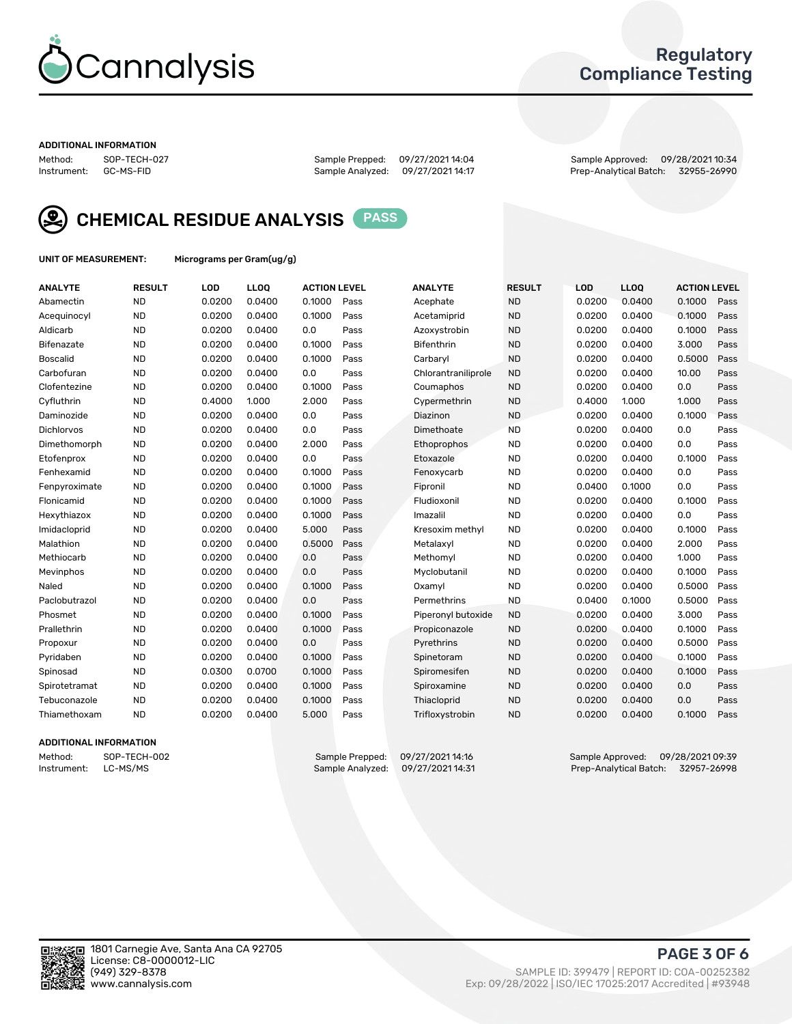

# Regulatory Compliance Testing

#### ADDITIONAL INFORMATION

Method: SOP-TECH-027 Sample Prepped: 09/27/2021 14:04 Sample Approved: 09/28/2021 10:34 Prep-Analytical Batch: 32955-26990



CHEMICAL RESIDUE ANALYSIS PASS

UNIT OF MEASUREMENT: Micrograms per Gram(ug/g)

| <b>ANALYTE</b>    | <b>RESULT</b> | LOD    | LL <sub>OO</sub> | <b>ACTION LEVEL</b> |      | <b>ANALYTE</b>      | <b>RESULT</b> | LOD    | <b>LLOQ</b> | <b>ACTION LEVEL</b> |      |
|-------------------|---------------|--------|------------------|---------------------|------|---------------------|---------------|--------|-------------|---------------------|------|
| Abamectin         | <b>ND</b>     | 0.0200 | 0.0400           | 0.1000              | Pass | Acephate            | <b>ND</b>     | 0.0200 | 0.0400      | 0.1000              | Pass |
| Acequinocyl       | <b>ND</b>     | 0.0200 | 0.0400           | 0.1000              | Pass | Acetamiprid         | <b>ND</b>     | 0.0200 | 0.0400      | 0.1000              | Pass |
| Aldicarb          | <b>ND</b>     | 0.0200 | 0.0400           | 0.0                 | Pass | Azoxystrobin        | <b>ND</b>     | 0.0200 | 0.0400      | 0.1000              | Pass |
| Bifenazate        | <b>ND</b>     | 0.0200 | 0.0400           | 0.1000              | Pass | <b>Bifenthrin</b>   | <b>ND</b>     | 0.0200 | 0.0400      | 3.000               | Pass |
| <b>Boscalid</b>   | <b>ND</b>     | 0.0200 | 0.0400           | 0.1000              | Pass | Carbaryl            | <b>ND</b>     | 0.0200 | 0.0400      | 0.5000              | Pass |
| Carbofuran        | <b>ND</b>     | 0.0200 | 0.0400           | 0.0                 | Pass | Chlorantraniliprole | <b>ND</b>     | 0.0200 | 0.0400      | 10.00               | Pass |
| Clofentezine      | <b>ND</b>     | 0.0200 | 0.0400           | 0.1000              | Pass | Coumaphos           | <b>ND</b>     | 0.0200 | 0.0400      | 0.0                 | Pass |
| Cyfluthrin        | <b>ND</b>     | 0.4000 | 1.000            | 2.000               | Pass | Cypermethrin        | <b>ND</b>     | 0.4000 | 1.000       | 1.000               | Pass |
| Daminozide        | <b>ND</b>     | 0.0200 | 0.0400           | 0.0                 | Pass | Diazinon            | <b>ND</b>     | 0.0200 | 0.0400      | 0.1000              | Pass |
| <b>Dichlorvos</b> | <b>ND</b>     | 0.0200 | 0.0400           | 0.0                 | Pass | Dimethoate          | <b>ND</b>     | 0.0200 | 0.0400      | 0.0                 | Pass |
| Dimethomorph      | <b>ND</b>     | 0.0200 | 0.0400           | 2.000               | Pass | <b>Ethoprophos</b>  | <b>ND</b>     | 0.0200 | 0.0400      | 0.0                 | Pass |
| Etofenprox        | <b>ND</b>     | 0.0200 | 0.0400           | 0.0                 | Pass | Etoxazole           | <b>ND</b>     | 0.0200 | 0.0400      | 0.1000              | Pass |
| Fenhexamid        | <b>ND</b>     | 0.0200 | 0.0400           | 0.1000              | Pass | Fenoxycarb          | <b>ND</b>     | 0.0200 | 0.0400      | 0.0                 | Pass |
| Fenpyroximate     | <b>ND</b>     | 0.0200 | 0.0400           | 0.1000              | Pass | Fipronil            | <b>ND</b>     | 0.0400 | 0.1000      | 0.0                 | Pass |
| Flonicamid        | <b>ND</b>     | 0.0200 | 0.0400           | 0.1000              | Pass | Fludioxonil         | <b>ND</b>     | 0.0200 | 0.0400      | 0.1000              | Pass |
| Hexythiazox       | <b>ND</b>     | 0.0200 | 0.0400           | 0.1000              | Pass | Imazalil            | <b>ND</b>     | 0.0200 | 0.0400      | 0.0                 | Pass |
| Imidacloprid      | <b>ND</b>     | 0.0200 | 0.0400           | 5.000               | Pass | Kresoxim methyl     | <b>ND</b>     | 0.0200 | 0.0400      | 0.1000              | Pass |
| Malathion         | <b>ND</b>     | 0.0200 | 0.0400           | 0.5000              | Pass | Metalaxyl           | <b>ND</b>     | 0.0200 | 0.0400      | 2.000               | Pass |
| Methiocarb        | <b>ND</b>     | 0.0200 | 0.0400           | 0.0                 | Pass | Methomyl            | <b>ND</b>     | 0.0200 | 0.0400      | 1.000               | Pass |
| Mevinphos         | <b>ND</b>     | 0.0200 | 0.0400           | 0.0                 | Pass | Myclobutanil        | <b>ND</b>     | 0.0200 | 0.0400      | 0.1000              | Pass |
| Naled             | <b>ND</b>     | 0.0200 | 0.0400           | 0.1000              | Pass | Oxamyl              | <b>ND</b>     | 0.0200 | 0.0400      | 0.5000              | Pass |
| Paclobutrazol     | <b>ND</b>     | 0.0200 | 0.0400           | 0.0                 | Pass | Permethrins         | <b>ND</b>     | 0.0400 | 0.1000      | 0.5000              | Pass |
| Phosmet           | <b>ND</b>     | 0.0200 | 0.0400           | 0.1000              | Pass | Piperonyl butoxide  | <b>ND</b>     | 0.0200 | 0.0400      | 3.000               | Pass |
| Prallethrin       | <b>ND</b>     | 0.0200 | 0.0400           | 0.1000              | Pass | Propiconazole       | <b>ND</b>     | 0.0200 | 0.0400      | 0.1000              | Pass |
| Propoxur          | <b>ND</b>     | 0.0200 | 0.0400           | 0.0                 | Pass | Pyrethrins          | <b>ND</b>     | 0.0200 | 0.0400      | 0.5000              | Pass |
| Pyridaben         | <b>ND</b>     | 0.0200 | 0.0400           | 0.1000              | Pass | Spinetoram          | <b>ND</b>     | 0.0200 | 0.0400      | 0.1000              | Pass |
| Spinosad          | <b>ND</b>     | 0.0300 | 0.0700           | 0.1000              | Pass | Spiromesifen        | <b>ND</b>     | 0.0200 | 0.0400      | 0.1000              | Pass |
| Spirotetramat     | <b>ND</b>     | 0.0200 | 0.0400           | 0.1000              | Pass | Spiroxamine         | <b>ND</b>     | 0.0200 | 0.0400      | 0.0                 | Pass |
| Tebuconazole      | <b>ND</b>     | 0.0200 | 0.0400           | 0.1000              | Pass | Thiacloprid         | <b>ND</b>     | 0.0200 | 0.0400      | 0.0                 | Pass |
| Thiamethoxam      | <b>ND</b>     | 0.0200 | 0.0400           | 5.000               | Pass | Trifloxystrobin     | <b>ND</b>     | 0.0200 | 0.0400      | 0.1000              | Pass |

### ADDITIONAL INFORMATION

Method: SOP-TECH-002 Sample Prepped: 09/27/2021 14:16 Sample Approved: 09/28/2021 09:39<br>Instrument: LC-MS/MS Sample Analyzed: 09/27/2021 14:31 Prep-Analytical Batch: 32957-26998 Prep-Analytical Batch: 32957-26998

PAGE 3 OF 6

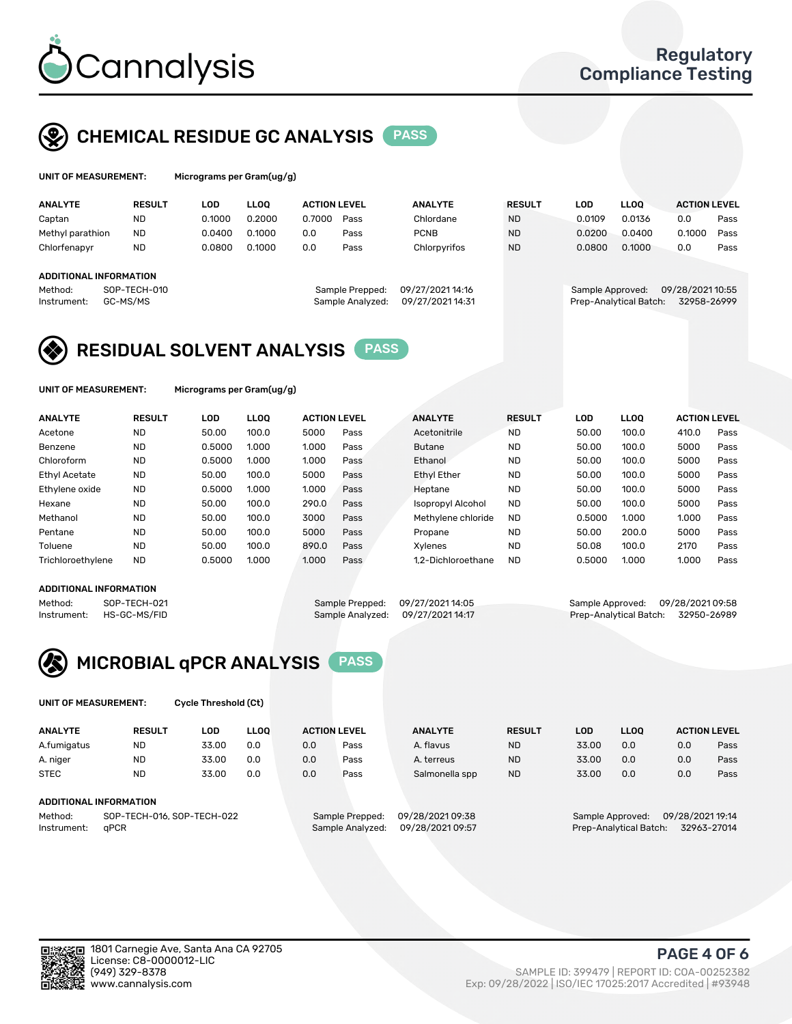

# CHEMICAL RESIDUE GC ANALYSIS PASS

| UNIT OF MEASUREMENT: |               | Micrograms per Gram(ug/g) |           |                 |
|----------------------|---------------|---------------------------|-----------|-----------------|
| <b>ANALYTE</b>       | <b>RESULT</b> | LOD                       | LLOO      | <b>ACTION L</b> |
|                      | $\cdots$      |                           | - - - - - |                 |

| <b>ANALYTE</b>                | <b>RESULT</b> | LOD    | LLOO   | <b>ACTION LEVEL</b> |                  | <b>ANALYTE</b>  | <b>RESULT</b> | LOD    | <b>LLOO</b>            | <b>ACTION LEVEL</b> |      |
|-------------------------------|---------------|--------|--------|---------------------|------------------|-----------------|---------------|--------|------------------------|---------------------|------|
| Captan                        | <b>ND</b>     | 0.1000 | 0.2000 | 0.7000              | Pass             | Chlordane       | <b>ND</b>     | 0.0109 | 0.0136                 | 0.0                 | Pass |
| Methyl parathion              | <b>ND</b>     | 0.0400 | 0.1000 | 0.0                 | Pass             | <b>PCNB</b>     | <b>ND</b>     | 0.0200 | 0.0400                 | 0.1000              | Pass |
| Chlorfenapyr                  | <b>ND</b>     | 0.0800 | 0.1000 | 0.0                 | Pass             | Chlorpyrifos    | <b>ND</b>     | 0.0800 | 0.1000                 | 0.0                 | Pass |
|                               |               |        |        |                     |                  |                 |               |        |                        |                     |      |
| <b>ADDITIONAL INFORMATION</b> |               |        |        |                     |                  |                 |               |        |                        |                     |      |
| Method:                       | SOP-TECH-010  |        |        |                     | Sample Prepped:  | 09/27/202114:16 |               |        | Sample Approved:       | 09/28/2021 10:55    |      |
| Instrument:                   | GC-MS/MS      |        |        |                     | Sample Analyzed: | 09/27/202114:31 |               |        | Prep-Analytical Batch: | 32958-26999         |      |
|                               |               |        |        |                     |                  |                 |               |        |                        |                     |      |

# RESIDUAL SOLVENT ANALYSIS PASS

UNIT OF MEASUREMENT: Micrograms per Gram(ug/g)

| <b>ANALYTE</b>       | <b>RESULT</b> | LOD    | <b>LLOO</b> | <b>ACTION LEVEL</b> |      | <b>ANALYTE</b>           | <b>RESULT</b> | LOD    | LLOO  | <b>ACTION LEVEL</b> |      |
|----------------------|---------------|--------|-------------|---------------------|------|--------------------------|---------------|--------|-------|---------------------|------|
| Acetone              | <b>ND</b>     | 50.00  | 100.0       | 5000                | Pass | Acetonitrile             | <b>ND</b>     | 50.00  | 100.0 | 410.0               | Pass |
| Benzene              | <b>ND</b>     | 0.5000 | 1.000       | 1.000               | Pass | <b>Butane</b>            | <b>ND</b>     | 50.00  | 100.0 | 5000                | Pass |
| Chloroform           | <b>ND</b>     | 0.5000 | 1.000       | 1.000               | Pass | Ethanol                  | <b>ND</b>     | 50.00  | 100.0 | 5000                | Pass |
| <b>Ethyl Acetate</b> | <b>ND</b>     | 50.00  | 100.0       | 5000                | Pass | <b>Ethyl Ether</b>       | <b>ND</b>     | 50.00  | 100.0 | 5000                | Pass |
| Ethylene oxide       | <b>ND</b>     | 0.5000 | 1.000       | 1.000               | Pass | Heptane                  | <b>ND</b>     | 50.00  | 100.0 | 5000                | Pass |
| Hexane               | <b>ND</b>     | 50.00  | 100.0       | 290.0               | Pass | <b>Isopropyl Alcohol</b> | <b>ND</b>     | 50.00  | 100.0 | 5000                | Pass |
| Methanol             | <b>ND</b>     | 50.00  | 100.0       | 3000                | Pass | Methylene chloride       | <b>ND</b>     | 0.5000 | 1.000 | 1.000               | Pass |
| Pentane              | <b>ND</b>     | 50.00  | 100.0       | 5000                | Pass | Propane                  | <b>ND</b>     | 50.00  | 200.0 | 5000                | Pass |
| Toluene              | <b>ND</b>     | 50.00  | 100.0       | 890.0               | Pass | Xvlenes                  | <b>ND</b>     | 50.08  | 100.0 | 2170                | Pass |
| Trichloroethylene    | <b>ND</b>     | 0.5000 | 1.000       | 1.000               | Pass | 1.2-Dichloroethane       | <b>ND</b>     | 0.5000 | 1.000 | 1.000               | Pass |

#### ADDITIONAL INFORMATION

Method: SOP-TECH-021 Sample Prepped: 09/27/2021 14:05 Sample Approved: 09/28/2021 09:58<br>Sample Analyzed: 09/27/2021 14:17 Prep-Analytical Batch: 32950-26989 Prep-Analytical Batch: 32950-26989



UNIT OF MEASUREMENT: Cycle Threshold (Ct)

| <b>ANALYTE</b>         | <b>RESULT</b>                  | LOD   | <b>LLOO</b> |               | <b>ACTION LEVEL</b> | <b>ANALYTE</b>                      | <b>RESULT</b> | LOD   | <b>LLOO</b> |     | <b>ACTION LEVEL</b> |
|------------------------|--------------------------------|-------|-------------|---------------|---------------------|-------------------------------------|---------------|-------|-------------|-----|---------------------|
| A.fumigatus            | <b>ND</b>                      | 33.00 | 0.0         | 0.0           | Pass                | A. flavus                           | <b>ND</b>     | 33.00 | 0.0         | 0.0 | Pass                |
| A. niger               | <b>ND</b>                      | 33.00 | 0.0         | 0.0           | Pass                | A. terreus                          | <b>ND</b>     | 33.00 | 0.0         | 0.0 | Pass                |
| <b>STEC</b>            | <b>ND</b>                      | 33.00 | 0.0         | 0.0           | Pass                | Salmonella spp                      | <b>ND</b>     | 33.00 | 0.0         | 0.0 | Pass                |
|                        |                                |       |             |               |                     |                                     |               |       |             |     |                     |
| ADDITIONAL INFORMATION |                                |       |             |               |                     |                                     |               |       |             |     |                     |
|                        | --- ---- - - - - -- --- -- - - |       |             | $\sim$ $\sim$ | .                   | $-0.12 - 1.02 - 0.02 - 0.02 - 0.02$ |               |       |             |     |                     |

Method: SOP-TECH-016, SOP-TECH-022 Sample Prepped: 09/28/2021 09:38 Sample Approved: 09/28/2021 19:14<br>Instrument: qPCR sample Analyzed: 09/28/2021 09:57 Prep-Analytical Batch: 32963-27014 Instrument: qPCR Sample Analyzed: 09/28/2021 09:57 Prep-Analytical Batch: 32963-27014

PAGE 4 OF 6

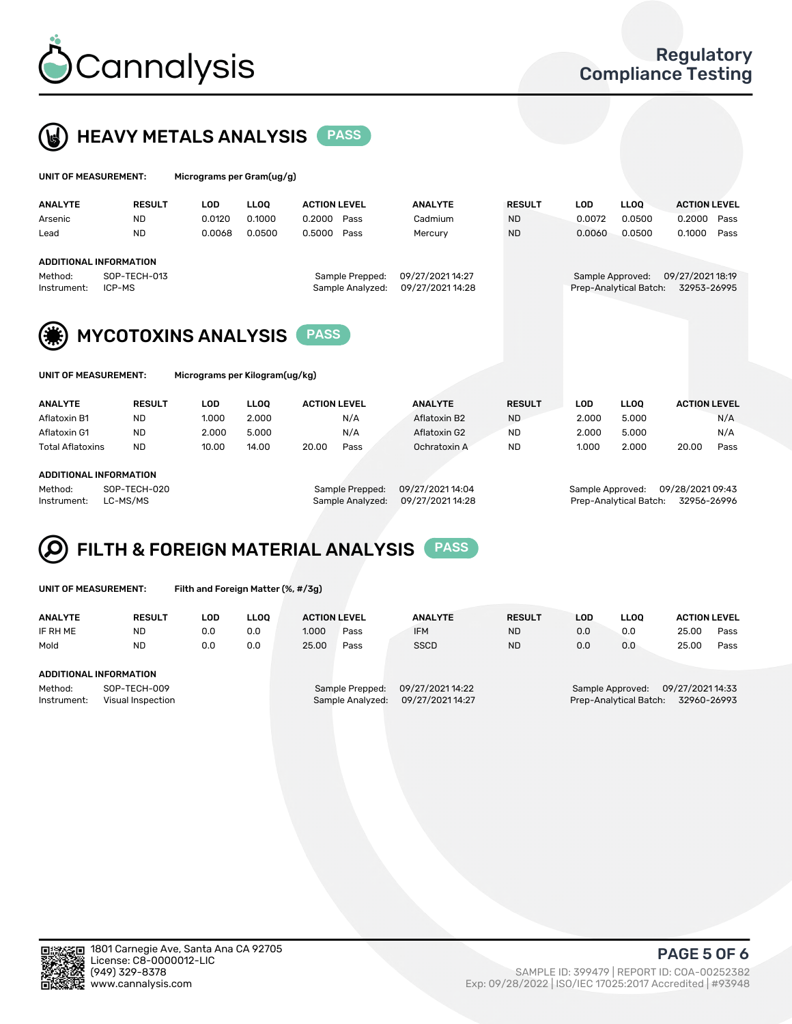



| UNIT OF MEASUREMENT:   |                            | Micrograms per Gram(ug/g) |             |                     |                                     |                                     |               |            |                                            |                                 |      |
|------------------------|----------------------------|---------------------------|-------------|---------------------|-------------------------------------|-------------------------------------|---------------|------------|--------------------------------------------|---------------------------------|------|
| <b>ANALYTE</b>         | <b>RESULT</b>              | <b>LOD</b>                | <b>LLOO</b> | <b>ACTION LEVEL</b> |                                     | <b>ANALYTE</b>                      | <b>RESULT</b> | <b>LOD</b> | <b>LLOO</b>                                | <b>ACTION LEVEL</b>             |      |
| Arsenic                | <b>ND</b>                  | 0.0120                    | 0.1000      | 0.2000              | Pass                                | Cadmium                             | <b>ND</b>     | 0.0072     | 0.0500                                     | 0.2000                          | Pass |
| Lead                   | <b>ND</b>                  | 0.0068                    | 0.0500      | 0.5000              | Pass                                | Mercury                             | <b>ND</b>     | 0.0060     | 0.0500                                     | 0.1000                          | Pass |
|                        | ADDITIONAL INFORMATION     |                           |             |                     |                                     |                                     |               |            |                                            |                                 |      |
| Method:<br>Instrument: | SOP-TECH-013<br>ICP-MS     |                           |             |                     | Sample Prepped:<br>Sample Analyzed: | 09/27/202114:27<br>09/27/2021 14:28 |               |            | Sample Approved:<br>Prep-Analytical Batch: | 09/27/2021 18:19<br>32953-26995 |      |
| (#)                    | <b>MYCOTOXINS ANALYSIS</b> |                           |             | <b>PASS</b>         |                                     |                                     |               |            |                                            |                                 |      |



UNIT OF MEASUREMENT: Micrograms per Kilogram(ug/kg)

| <b>ANALYTE</b>          | <b>RESULT</b> | <b>LOD</b> | <b>LLOO</b> | <b>ACTION LEVEL</b> |      | <b>ANALYTE</b> | <b>RESULT</b> | LOD.  | <b>LLOO</b> | <b>ACTION LEVEL</b> |      |
|-------------------------|---------------|------------|-------------|---------------------|------|----------------|---------------|-------|-------------|---------------------|------|
| Aflatoxin B1            | <b>ND</b>     | 1.000      | 2.000       |                     | N/A  | Aflatoxin B2   | <b>ND</b>     | 2.000 | 5.000       |                     | N/A  |
| Aflatoxin G1            | <b>ND</b>     | 2.000      | 5.000       |                     | N/A  | Aflatoxin G2   | <b>ND</b>     | 2.000 | 5.000       |                     | N/A  |
| <b>Total Aflatoxins</b> | <b>ND</b>     | 10.00      | 14.00       | 20.00               | Pass | Ochratoxin A   | <b>ND</b>     | 1.000 | 2.000       | 20.00               | Pass |
|                         |               |            |             |                     |      |                |               |       |             |                     |      |

#### ADDITIONAL INFORMATION

Method: SOP-TECH-020 Sample Prepped: 09/27/2021 14:04 Sample Approved: 09/28/2021 09:43 Instrument: LC-MS/MS Sample Analyzed: 09/27/2021 14:28 Prep-Analytical Batch: 32956-26996

# FILTH & FOREIGN MATERIAL ANALYSIS PASS

UNIT OF MEASUREMENT: Filth and Foreign Matter (%, #/3g)

| <b>ANALYTE</b>         | <b>RESULT</b>                     | LOD | <b>LLOO</b> | <b>ACTION LEVEL</b> |                                     | <b>ANALYTE</b>                     | <b>RESULT</b> | LOD | <b>LLOO</b>                                                 | <b>ACTION LEVEL</b> |      |
|------------------------|-----------------------------------|-----|-------------|---------------------|-------------------------------------|------------------------------------|---------------|-----|-------------------------------------------------------------|---------------------|------|
| IF RH ME               | <b>ND</b>                         | 0.0 | 0.0         | 1.000               | Pass                                | <b>IFM</b>                         | <b>ND</b>     | 0.0 | 0.0                                                         | 25.00               | Pass |
| Mold                   | <b>ND</b>                         | 0.0 | 0.0         | 25.00               | Pass                                | <b>SSCD</b>                        | <b>ND</b>     | 0.0 | 0.0                                                         | 25.00               | Pass |
| ADDITIONAL INFORMATION |                                   |     |             |                     |                                     |                                    |               |     |                                                             |                     |      |
| Method:<br>Instrument: | SOP-TECH-009<br>Visual Inspection |     |             |                     | Sample Prepped:<br>Sample Analyzed: | 09/27/202114:22<br>09/27/202114:27 |               |     | Sample Approved: 09/27/2021 14:33<br>Prep-Analytical Batch: | 32960-26993         |      |